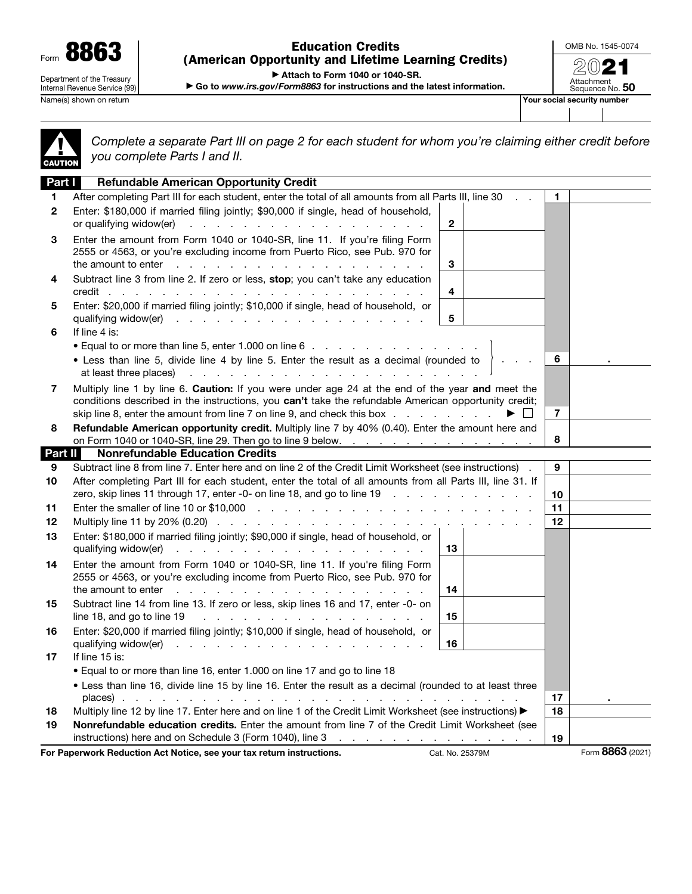Form 8863 Department of the Treasury Internal Revenue Service (99)

Name(s) shown on return **Your social security number**  $\blacksquare$ 

Education Credits (American Opportunity and Lifetime Learning Credits) OMB No. 1545-0074 2021

Attachment<br>Sequence No. **50** 

▶ Attach to Form 1040 or 1040-SR.

▶ Go to *www.irs.gov/Form8863* for instructions and the latest information.

▲! CAUTION

*Complete a separate Part III on page 2 for each student for whom you're claiming either credit before you complete Parts I and II.*

| Part I       | <b>Refundable American Opportunity Credit</b>                                                                                                                                                                                                                                                                                      |                |                  |
|--------------|------------------------------------------------------------------------------------------------------------------------------------------------------------------------------------------------------------------------------------------------------------------------------------------------------------------------------------|----------------|------------------|
| 1            | After completing Part III for each student, enter the total of all amounts from all Parts III, line 30                                                                                                                                                                                                                             | 1.             |                  |
| $\mathbf{2}$ | Enter: \$180,000 if married filing jointly; \$90,000 if single, head of household,<br>or qualifying widow(er)<br>$\mathbf{2}$<br>.                                                                                                                                                                                                 |                |                  |
| 3            | Enter the amount from Form 1040 or 1040-SR, line 11. If you're filing Form<br>2555 or 4563, or you're excluding income from Puerto Rico, see Pub. 970 for<br>3<br>the amount to enter $\cdots$ $\cdots$ $\cdots$ $\cdots$ $\cdots$ $\cdots$ $\cdots$ $\cdots$ $\cdots$                                                             |                |                  |
| 4            | Subtract line 3 from line 2. If zero or less, stop; you can't take any education<br>4                                                                                                                                                                                                                                              |                |                  |
| 5            | Enter: \$20,000 if married filing jointly; \$10,000 if single, head of household, or<br>5                                                                                                                                                                                                                                          |                |                  |
| 6            | If line 4 is:                                                                                                                                                                                                                                                                                                                      |                |                  |
|              |                                                                                                                                                                                                                                                                                                                                    |                |                  |
|              | • Less than line 5, divide line 4 by line 5. Enter the result as a decimal (rounded to                                                                                                                                                                                                                                             | 6              |                  |
| 7            | Multiply line 1 by line 6. Caution: If you were under age 24 at the end of the year and meet the<br>conditions described in the instructions, you can't take the refundable American opportunity credit;<br>skip line 8, enter the amount from line 7 on line 9, and check this box<br>▶ │ │                                       | $\overline{7}$ |                  |
| 8            | Refundable American opportunity credit. Multiply line 7 by 40% (0.40). Enter the amount here and                                                                                                                                                                                                                                   |                |                  |
|              | on Form 1040 or 1040-SR, line 29. Then go to line 9 below. $\ldots$<br><b>Nonrefundable Education Credits</b>                                                                                                                                                                                                                      | 8              |                  |
| Part II      | Subtract line 8 from line 7. Enter here and on line 2 of the Credit Limit Worksheet (see instructions).                                                                                                                                                                                                                            | 9              |                  |
| 9<br>10      | After completing Part III for each student, enter the total of all amounts from all Parts III, line 31. If<br>zero, skip lines 11 through 17, enter -0- on line 18, and go to line 19                                                                                                                                              | 10             |                  |
| 11           |                                                                                                                                                                                                                                                                                                                                    | 11             |                  |
| 12           |                                                                                                                                                                                                                                                                                                                                    | 12             |                  |
| 13           | Enter: \$180,000 if married filing jointly; \$90,000 if single, head of household, or<br>qualifying widow(er)<br>13                                                                                                                                                                                                                |                |                  |
| 14           | Enter the amount from Form 1040 or 1040-SR, line 11. If you're filing Form<br>2555 or 4563, or you're excluding income from Puerto Rico, see Pub. 970 for<br>the amount to enter $\cdots$ $\cdots$ $\cdots$ $\cdots$ $\cdots$ $\cdots$ $\cdots$ $\cdots$<br>14                                                                     |                |                  |
| 15           | Subtract line 14 from line 13. If zero or less, skip lines 16 and 17, enter -0- on<br>line 18, and go to line 19 $\ldots$ $\ldots$ $\ldots$ $\ldots$ $\ldots$ $\ldots$ $\ldots$ $\ldots$<br>15                                                                                                                                     |                |                  |
| 16           | Enter: \$20,000 if married filing jointly; \$10,000 if single, head of household, or<br>qualifying widow(er) $\cdots$ $\cdots$ $\cdots$ $\cdots$ $\cdots$ $\cdots$ $\cdots$ $\cdots$<br>16                                                                                                                                         |                |                  |
| 17           | If line 15 is:                                                                                                                                                                                                                                                                                                                     |                |                  |
|              | • Equal to or more than line 16, enter 1.000 on line 17 and go to line 18                                                                                                                                                                                                                                                          |                |                  |
|              | . Less than line 16, divide line 15 by line 16. Enter the result as a decimal (rounded to at least three                                                                                                                                                                                                                           |                |                  |
|              | places)                                                                                                                                                                                                                                                                                                                            | 17             |                  |
| 18           | Multiply line 12 by line 17. Enter here and on line 1 of the Credit Limit Worksheet (see instructions) ▶                                                                                                                                                                                                                           | 18             |                  |
| 19           | Nonrefundable education credits. Enter the amount from line 7 of the Credit Limit Worksheet (see<br>instructions) here and on Schedule 3 (Form 1040), line 3 manufacture and a set of the state of the 3 manufacture 3 manufacture 3 manufacture 3 manufacture 3 manufacture 3 manufacture 3 manufacture 3 manufacture 3 manufactu | 19             |                  |
|              | For Paperwork Reduction Act Notice, see your tax return instructions.<br>Cat. No. 25379M                                                                                                                                                                                                                                           |                | Form 8863 (2021) |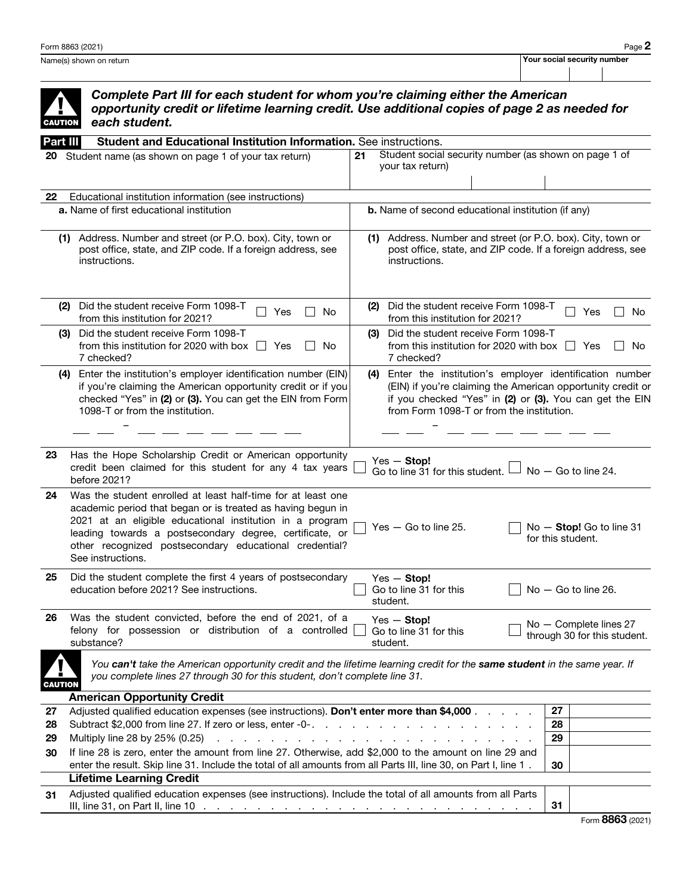| <b>CAUTION</b> | Complete Part III for each student for whom you're claiming either the American<br>opportunity credit or lifetime learning credit. Use additional copies of page 2 as needed for<br>each student.                                                                                                                                                                               |    |                                                                                                                                                                                                                                   |                                                        |                       |  |
|----------------|---------------------------------------------------------------------------------------------------------------------------------------------------------------------------------------------------------------------------------------------------------------------------------------------------------------------------------------------------------------------------------|----|-----------------------------------------------------------------------------------------------------------------------------------------------------------------------------------------------------------------------------------|--------------------------------------------------------|-----------------------|--|
| Part III       | Student and Educational Institution Information. See instructions.                                                                                                                                                                                                                                                                                                              |    |                                                                                                                                                                                                                                   |                                                        |                       |  |
| 20             | Student name (as shown on page 1 of your tax return)                                                                                                                                                                                                                                                                                                                            | 21 | Student social security number (as shown on page 1 of<br>your tax return)                                                                                                                                                         |                                                        |                       |  |
| 22             | Educational institution information (see instructions)                                                                                                                                                                                                                                                                                                                          |    |                                                                                                                                                                                                                                   |                                                        |                       |  |
|                | <b>a.</b> Name of first educational institution                                                                                                                                                                                                                                                                                                                                 |    | <b>b.</b> Name of second educational institution (if any)                                                                                                                                                                         |                                                        |                       |  |
| (1)            | Address. Number and street (or P.O. box). City, town or<br>post office, state, and ZIP code. If a foreign address, see<br>instructions.                                                                                                                                                                                                                                         |    | (1) Address. Number and street (or P.O. box). City, town or<br>post office, state, and ZIP code. If a foreign address, see<br>instructions.                                                                                       |                                                        |                       |  |
| (2)            | Did the student receive Form 1098-T<br>Yes<br>No<br>from this institution for 2021?                                                                                                                                                                                                                                                                                             |    | (2) Did the student receive Form 1098-T<br>from this institution for 2021?                                                                                                                                                        |                                                        | Yes<br>No.            |  |
| (3)            | Did the student receive Form 1098-T<br>from this institution for 2020 with box $\Box$<br>Yes<br>No.<br>7 checked?                                                                                                                                                                                                                                                               |    | (3) Did the student receive Form 1098-T<br>from this institution for 2020 with box $\ \cdot\ $<br>7 checked?                                                                                                                      |                                                        | Yes<br>No.            |  |
| (4)            | Enter the institution's employer identification number (EIN)<br>if you're claiming the American opportunity credit or if you<br>checked "Yes" in (2) or (3). You can get the EIN from Form<br>1098-T or from the institution.                                                                                                                                                   |    | (4) Enter the institution's employer identification number<br>(EIN) if you're claiming the American opportunity credit or<br>if you checked "Yes" in (2) or (3). You can get the EIN<br>from Form 1098-T or from the institution. |                                                        |                       |  |
|                |                                                                                                                                                                                                                                                                                                                                                                                 |    |                                                                                                                                                                                                                                   |                                                        |                       |  |
| 23             | Has the Hope Scholarship Credit or American opportunity<br>credit been claimed for this student for any 4 tax years<br>before 2021?                                                                                                                                                                                                                                             |    | $Yes - Stop!$<br>Go to line 31 for this student.                                                                                                                                                                                  |                                                        | $No - Go$ to line 24. |  |
| 24             | Was the student enrolled at least half-time for at least one<br>academic period that began or is treated as having begun in<br>2021 at an eligible educational institution in a program<br>leading towards a postsecondary degree, certificate, or<br>other recognized postsecondary educational credential?<br>See instructions.                                               |    | $Yes - Go$ to line 25.                                                                                                                                                                                                            | No - Stop! Go to line 31<br>for this student.          |                       |  |
| 25             | Did the student complete the first 4 years of postsecondary<br>education before 2021? See instructions.                                                                                                                                                                                                                                                                         |    | $Yes - Stop!$<br>Go to line 31 for this<br>$\Box$ No $-$ Go to line 26.<br>student.                                                                                                                                               |                                                        |                       |  |
| 26             | Was the student convicted, before the end of 2021, of a<br>felony for possession or distribution of a controlled<br>substance?                                                                                                                                                                                                                                                  |    | $Yes - Stop!$<br>Go to line 31 for this<br>student.                                                                                                                                                                               | No - Complete lines 27<br>through 30 for this student. |                       |  |
| <b>CAUTION</b> | You can't take the American opportunity credit and the lifetime learning credit for the same student in the same year. If<br>you complete lines 27 through 30 for this student, don't complete line 31.                                                                                                                                                                         |    |                                                                                                                                                                                                                                   |                                                        |                       |  |
|                | <b>American Opportunity Credit</b>                                                                                                                                                                                                                                                                                                                                              |    |                                                                                                                                                                                                                                   |                                                        |                       |  |
| 27             | Adjusted qualified education expenses (see instructions). Don't enter more than \$4,000                                                                                                                                                                                                                                                                                         |    |                                                                                                                                                                                                                                   | 27                                                     |                       |  |
| 28             |                                                                                                                                                                                                                                                                                                                                                                                 |    |                                                                                                                                                                                                                                   | 28                                                     |                       |  |
| 29             | Multiply line 28 by 25% (0.25)<br>If line 28 is zero, enter the amount from line 27. Otherwise, add \$2,000 to the amount on line 29 and                                                                                                                                                                                                                                        |    | the second contract of the second contract of the second contract of the second contract of the second contract of the second contract of the second contract of the second contract of the second contract of the second cont    | 29                                                     |                       |  |
| 30             | enter the result. Skip line 31. Include the total of all amounts from all Parts III, line 30, on Part I, line 1.                                                                                                                                                                                                                                                                |    |                                                                                                                                                                                                                                   | 30                                                     |                       |  |
|                | <b>Lifetime Learning Credit</b>                                                                                                                                                                                                                                                                                                                                                 |    |                                                                                                                                                                                                                                   |                                                        |                       |  |
| 31             | Adjusted qualified education expenses (see instructions). Include the total of all amounts from all Parts<br>III, line 31, on Part II, line 10<br>a construction of the construction of the construction of the construction of the construction of the construction of the construction of the construction of the construction of the construction of the construction of the |    |                                                                                                                                                                                                                                   | 31                                                     |                       |  |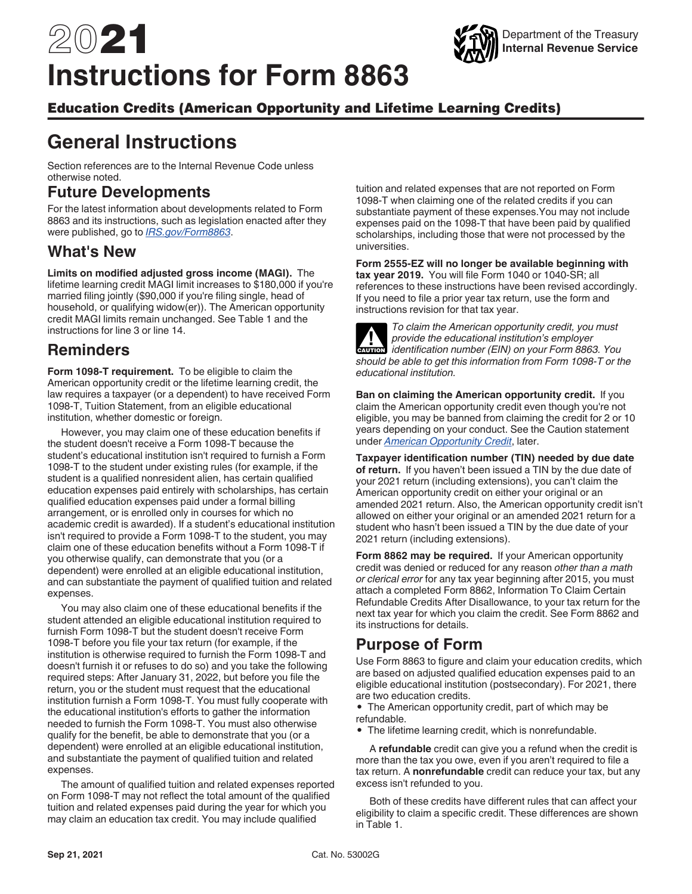# 2021 **Instructions for Form 8863**



### Education Credits (American Opportunity and Lifetime Learning Credits)

# **General Instructions**

Section references are to the Internal Revenue Code unless otherwise noted.

### **Future Developments**

For the latest information about developments related to Form 8863 and its instructions, such as legislation enacted after they were published, go to *[IRS.gov/Form8863](https://www.irs.gov/form8863)*.

### **What's New**

**Limits on modified adjusted gross income (MAGI).** The lifetime learning credit MAGI limit increases to \$180,000 if you're married filing jointly (\$90,000 if you're filing single, head of household, or qualifying widow(er)). The American opportunity credit MAGI limits remain unchanged. See Table 1 and the instructions for line 3 or line 14.

### **Reminders**

**Form 1098-T requirement.** To be eligible to claim the American opportunity credit or the lifetime learning credit, the law requires a taxpayer (or a dependent) to have received Form 1098-T, Tuition Statement, from an eligible educational institution, whether domestic or foreign.

However, you may claim one of these education benefits if the student doesn't receive a Form 1098-T because the student's educational institution isn't required to furnish a Form 1098-T to the student under existing rules (for example, if the student is a qualified nonresident alien, has certain qualified education expenses paid entirely with scholarships, has certain qualified education expenses paid under a formal billing arrangement, or is enrolled only in courses for which no academic credit is awarded). If a student's educational institution isn't required to provide a Form 1098-T to the student, you may claim one of these education benefits without a Form 1098-T if you otherwise qualify, can demonstrate that you (or a dependent) were enrolled at an eligible educational institution, and can substantiate the payment of qualified tuition and related expenses.

You may also claim one of these educational benefits if the student attended an eligible educational institution required to furnish Form 1098-T but the student doesn't receive Form 1098-T before you file your tax return (for example, if the institution is otherwise required to furnish the Form 1098-T and doesn't furnish it or refuses to do so) and you take the following required steps: After January 31, 2022, but before you file the return, you or the student must request that the educational institution furnish a Form 1098-T. You must fully cooperate with the educational institution's efforts to gather the information needed to furnish the Form 1098-T. You must also otherwise qualify for the benefit, be able to demonstrate that you (or a dependent) were enrolled at an eligible educational institution, and substantiate the payment of qualified tuition and related expenses.

The amount of qualified tuition and related expenses reported on Form 1098-T may not reflect the total amount of the qualified tuition and related expenses paid during the year for which you may claim an education tax credit. You may include qualified

tuition and related expenses that are not reported on Form 1098-T when claiming one of the related credits if you can substantiate payment of these expenses.You may not include expenses paid on the 1098-T that have been paid by qualified scholarships, including those that were not processed by the universities.

#### **Form 2555-EZ will no longer be available beginning with**

**tax year 2019.** You will file Form 1040 or 1040-SR; all references to these instructions have been revised accordingly. If you need to file a prior year tax return, use the form and instructions revision for that tax year.

*To claim the American opportunity credit, you must provide the educational institution's employer identification number (EIN) on your Form 8863. You should be able to get this information from Form 1098-T or the educational institution.* **CAUTION !**

**Ban on claiming the American opportunity credit.** If you claim the American opportunity credit even though you're not eligible, you may be banned from claiming the credit for 2 or 10 years depending on your conduct. See the Caution statement under *American Opportunity Credit*, later.

**Taxpayer identification number (TIN) needed by due date of return.** If you haven't been issued a TIN by the due date of your 2021 return (including extensions), you can't claim the American opportunity credit on either your original or an amended 2021 return. Also, the American opportunity credit isn't allowed on either your original or an amended 2021 return for a student who hasn't been issued a TIN by the due date of your 2021 return (including extensions).

**Form 8862 may be required.** If your American opportunity credit was denied or reduced for any reason *other than a math or clerical error* for any tax year beginning after 2015, you must attach a completed Form 8862, Information To Claim Certain Refundable Credits After Disallowance, to your tax return for the next tax year for which you claim the credit. See Form 8862 and its instructions for details.

### **Purpose of Form**

Use Form 8863 to figure and claim your education credits, which are based on adjusted qualified education expenses paid to an eligible educational institution (postsecondary). For 2021, there are two education credits.

• The American opportunity credit, part of which may be refundable.

• The lifetime learning credit, which is nonrefundable.

A **refundable** credit can give you a refund when the credit is more than the tax you owe, even if you aren't required to file a tax return. A **nonrefundable** credit can reduce your tax, but any excess isn't refunded to you.

Both of these credits have different rules that can affect your eligibility to claim a specific credit. These differences are shown in Table 1.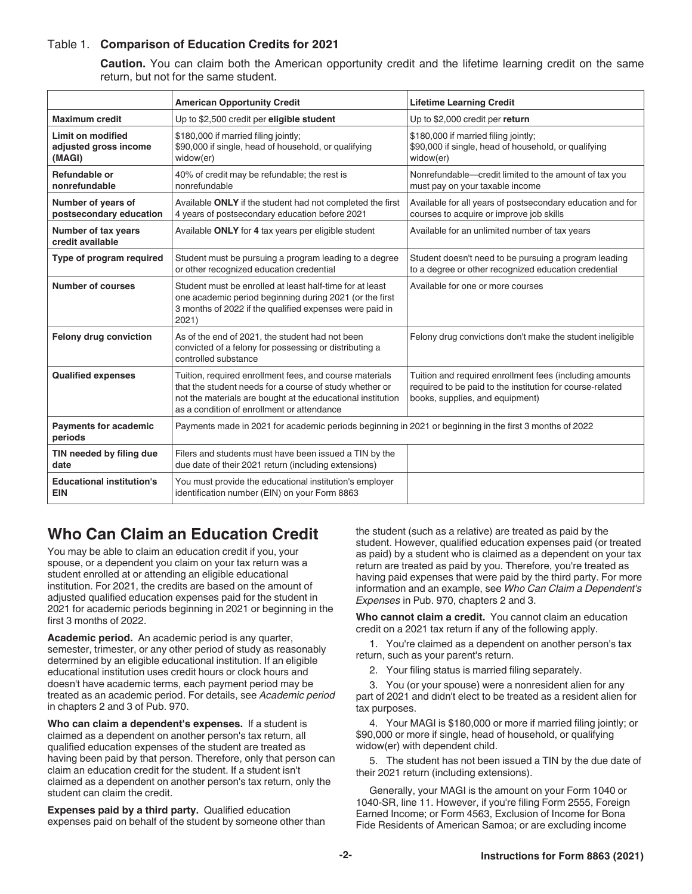#### Table 1. Comparison of Education Credits for 2021

**Caution.** You can claim both the American opportunity credit and the lifetime learning credit on the same return, but not for the same student.

|                                                             | <b>American Opportunity Credit</b>                                                                                                                                                                                              | <b>Lifetime Learning Credit</b>                                                                                                                         |
|-------------------------------------------------------------|---------------------------------------------------------------------------------------------------------------------------------------------------------------------------------------------------------------------------------|---------------------------------------------------------------------------------------------------------------------------------------------------------|
| <b>Maximum credit</b>                                       | Up to \$2,500 credit per eligible student                                                                                                                                                                                       | Up to \$2,000 credit per return                                                                                                                         |
| <b>Limit on modified</b><br>adjusted gross income<br>(MAGI) | \$180,000 if married filing jointly;<br>\$90,000 if single, head of household, or qualifying<br>widow(er)                                                                                                                       | \$180,000 if married filing jointly;<br>\$90,000 if single, head of household, or qualifying<br>widow(er)                                               |
| Refundable or<br>nonrefundable                              | 40% of credit may be refundable; the rest is<br>nonrefundable                                                                                                                                                                   | Nonrefundable-credit limited to the amount of tax you<br>must pay on your taxable income                                                                |
| Number of years of<br>postsecondary education               | Available ONLY if the student had not completed the first<br>4 years of postsecondary education before 2021                                                                                                                     | Available for all years of postsecondary education and for<br>courses to acquire or improve job skills                                                  |
| Number of tax years<br>credit available                     | Available ONLY for 4 tax years per eligible student                                                                                                                                                                             | Available for an unlimited number of tax years                                                                                                          |
| Type of program required                                    | Student must be pursuing a program leading to a degree<br>or other recognized education credential                                                                                                                              | Student doesn't need to be pursuing a program leading<br>to a degree or other recognized education credential                                           |
| <b>Number of courses</b>                                    | Student must be enrolled at least half-time for at least<br>one academic period beginning during 2021 (or the first<br>3 months of 2022 if the qualified expenses were paid in<br>2021)                                         | Available for one or more courses                                                                                                                       |
| Felony drug conviction                                      | As of the end of 2021, the student had not been<br>convicted of a felony for possessing or distributing a<br>controlled substance                                                                                               | Felony drug convictions don't make the student ineligible                                                                                               |
| <b>Qualified expenses</b>                                   | Tuition, required enrollment fees, and course materials<br>that the student needs for a course of study whether or<br>not the materials are bought at the educational institution<br>as a condition of enrollment or attendance | Tuition and required enrollment fees (including amounts<br>required to be paid to the institution for course-related<br>books, supplies, and equipment) |
| <b>Payments for academic</b><br>periods                     | Payments made in 2021 for academic periods beginning in 2021 or beginning in the first 3 months of 2022                                                                                                                         |                                                                                                                                                         |
| TIN needed by filing due<br>date                            | Filers and students must have been issued a TIN by the<br>due date of their 2021 return (including extensions)                                                                                                                  |                                                                                                                                                         |
| <b>Educational institution's</b><br><b>EIN</b>              | You must provide the educational institution's employer<br>identification number (EIN) on your Form 8863                                                                                                                        |                                                                                                                                                         |

# **Who Can Claim an Education Credit**

You may be able to claim an education credit if you, your spouse, or a dependent you claim on your tax return was a student enrolled at or attending an eligible educational institution. For 2021, the credits are based on the amount of adjusted qualified education expenses paid for the student in 2021 for academic periods beginning in 2021 or beginning in the first 3 months of 2022.

**Academic period.** An academic period is any quarter, semester, trimester, or any other period of study as reasonably determined by an eligible educational institution. If an eligible educational institution uses credit hours or clock hours and doesn't have academic terms, each payment period may be treated as an academic period. For details, see *Academic period*  in chapters 2 and 3 of Pub. 970.

**Who can claim a dependent's expenses.** If a student is claimed as a dependent on another person's tax return, all qualified education expenses of the student are treated as having been paid by that person. Therefore, only that person can claim an education credit for the student. If a student isn't claimed as a dependent on another person's tax return, only the student can claim the credit.

**Expenses paid by a third party.** Qualified education expenses paid on behalf of the student by someone other than the student (such as a relative) are treated as paid by the student. However, qualified education expenses paid (or treated as paid) by a student who is claimed as a dependent on your tax return are treated as paid by you. Therefore, you're treated as having paid expenses that were paid by the third party. For more information and an example, see *Who Can Claim a Dependent's Expenses* in Pub. 970, chapters 2 and 3.

**Who cannot claim a credit.** You cannot claim an education credit on a 2021 tax return if any of the following apply.

1. You're claimed as a dependent on another person's tax return, such as your parent's return.

2. Your filing status is married filing separately.

3. You (or your spouse) were a nonresident alien for any part of 2021 and didn't elect to be treated as a resident alien for tax purposes.

4. Your MAGI is \$180,000 or more if married filing jointly; or \$90,000 or more if single, head of household, or qualifying widow(er) with dependent child.

5. The student has not been issued a TIN by the due date of their 2021 return (including extensions).

Generally, your MAGI is the amount on your Form 1040 or 1040-SR, line 11. However, if you're filing Form 2555, Foreign Earned Income; or Form 4563, Exclusion of Income for Bona Fide Residents of American Samoa; or are excluding income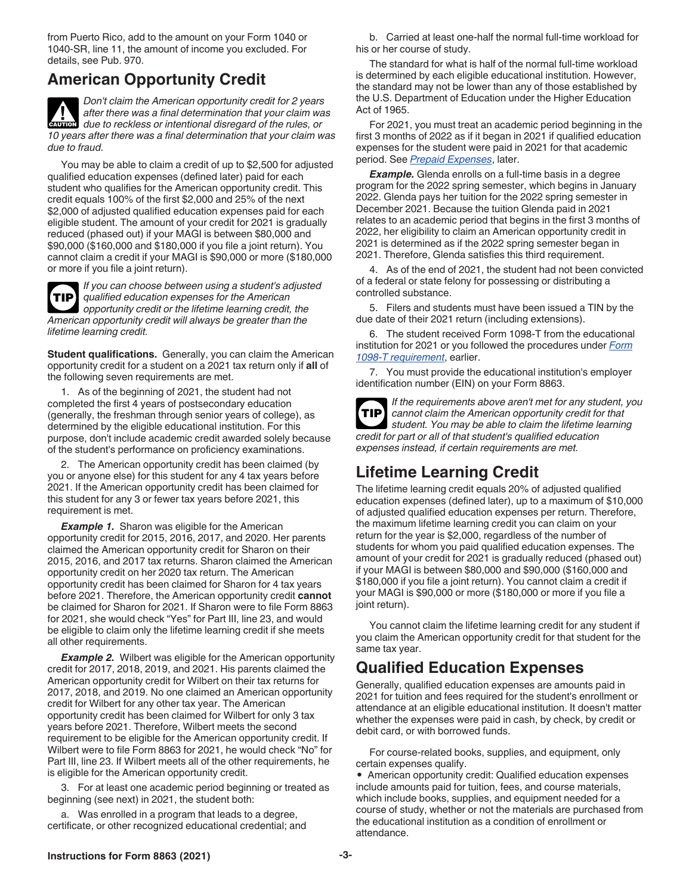from Puerto Rico, add to the amount on your Form 1040 or 1040-SR, line 11, the amount of income you excluded. For details, see Pub. 970.

# **American Opportunity Credit**

*Don't claim the American opportunity credit for 2 years after there was a final determination that your claim was due to reckless or intentional disregard of the rules, or 10 years after there was a final determination that your claim was due to fraud.* **CAUTION !**

You may be able to claim a credit of up to \$2,500 for adjusted qualified education expenses (defined later) paid for each student who qualifies for the American opportunity credit. This credit equals 100% of the first \$2,000 and 25% of the next \$2,000 of adjusted qualified education expenses paid for each eligible student. The amount of your credit for 2021 is gradually reduced (phased out) if your MAGI is between \$80,000 and \$90,000 (\$160,000 and \$180,000 if you file a joint return). You cannot claim a credit if your MAGI is \$90,000 or more (\$180,000 or more if you file a joint return).

**TIP**

*If you can choose between using a student's adjusted qualified education expenses for the American opportunity credit or the lifetime learning credit, the American opportunity credit will always be greater than the lifetime learning credit.*

**Student qualifications.** Generally, you can claim the American opportunity credit for a student on a 2021 tax return only if **all** of the following seven requirements are met.

1. As of the beginning of 2021, the student had not completed the first 4 years of postsecondary education (generally, the freshman through senior years of college), as determined by the eligible educational institution. For this purpose, don't include academic credit awarded solely because of the student's performance on proficiency examinations.

2. The American opportunity credit has been claimed (by you or anyone else) for this student for any 4 tax years before 2021. If the American opportunity credit has been claimed for this student for any 3 or fewer tax years before 2021, this requirement is met.

**Example 1.** Sharon was eligible for the American opportunity credit for 2015, 2016, 2017, and 2020. Her parents claimed the American opportunity credit for Sharon on their 2015, 2016, and 2017 tax returns. Sharon claimed the American opportunity credit on her 2020 tax return. The American opportunity credit has been claimed for Sharon for 4 tax years before 2021. Therefore, the American opportunity credit **cannot**  be claimed for Sharon for 2021. If Sharon were to file Form 8863 for 2021, she would check "Yes" for Part III, line 23, and would be eligible to claim only the lifetime learning credit if she meets all other requirements.

**Example 2.** Wilbert was eligible for the American opportunity credit for 2017, 2018, 2019, and 2021. His parents claimed the American opportunity credit for Wilbert on their tax returns for 2017, 2018, and 2019. No one claimed an American opportunity credit for Wilbert for any other tax year. The American opportunity credit has been claimed for Wilbert for only 3 tax years before 2021. Therefore, Wilbert meets the second requirement to be eligible for the American opportunity credit. If Wilbert were to file Form 8863 for 2021, he would check "No" for Part III, line 23. If Wilbert meets all of the other requirements, he is eligible for the American opportunity credit.

3. For at least one academic period beginning or treated as beginning (see next) in 2021, the student both:

a. Was enrolled in a program that leads to a degree, certificate, or other recognized educational credential; and

b. Carried at least one-half the normal full-time workload for his or her course of study.

The standard for what is half of the normal full-time workload is determined by each eligible educational institution. However, the standard may not be lower than any of those established by the U.S. Department of Education under the Higher Education Act of 1965.

For 2021, you must treat an academic period beginning in the first 3 months of 2022 as if it began in 2021 if qualified education expenses for the student were paid in 2021 for that academic period. See *Prepaid Expenses*, later.

*Example.* Glenda enrolls on a full-time basis in a degree program for the 2022 spring semester, which begins in January 2022. Glenda pays her tuition for the 2022 spring semester in December 2021. Because the tuition Glenda paid in 2021 relates to an academic period that begins in the first 3 months of 2022, her eligibility to claim an American opportunity credit in 2021 is determined as if the 2022 spring semester began in 2021. Therefore, Glenda satisfies this third requirement.

4. As of the end of 2021, the student had not been convicted of a federal or state felony for possessing or distributing a controlled substance.

5. Filers and students must have been issued a TIN by the due date of their 2021 return (including extensions).

6. The student received Form 1098-T from the educational institution for 2021 or you followed the procedures under *Form 1098-T requirement*, earlier.

7. You must provide the educational institution's employer identification number (EIN) on your Form 8863.

*If the requirements above aren't met for any student, you cannot claim the American opportunity credit for that student. You may be able to claim the lifetime learning credit for part or all of that student's qualified education expenses instead, if certain requirements are met.* **TIP**

# **Lifetime Learning Credit**

The lifetime learning credit equals 20% of adjusted qualified education expenses (defined later), up to a maximum of \$10,000 of adjusted qualified education expenses per return. Therefore, the maximum lifetime learning credit you can claim on your return for the year is \$2,000, regardless of the number of students for whom you paid qualified education expenses. The amount of your credit for 2021 is gradually reduced (phased out) if your MAGI is between \$80,000 and \$90,000 (\$160,000 and \$180,000 if you file a joint return). You cannot claim a credit if your MAGI is \$90,000 or more (\$180,000 or more if you file a joint return).

You cannot claim the lifetime learning credit for any student if you claim the American opportunity credit for that student for the same tax year.

### **Qualified Education Expenses**

Generally, qualified education expenses are amounts paid in 2021 for tuition and fees required for the student's enrollment or attendance at an eligible educational institution. It doesn't matter whether the expenses were paid in cash, by check, by credit or debit card, or with borrowed funds.

For course-related books, supplies, and equipment, only certain expenses qualify.

• American opportunity credit: Qualified education expenses include amounts paid for tuition, fees, and course materials, which include books, supplies, and equipment needed for a course of study, whether or not the materials are purchased from the educational institution as a condition of enrollment or attendance.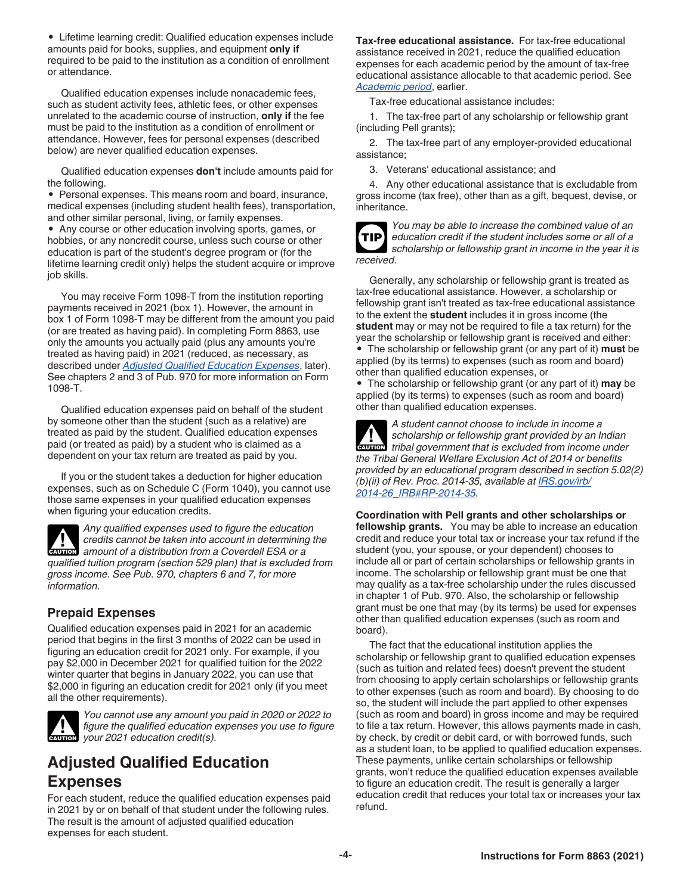• Lifetime learning credit: Qualified education expenses include amounts paid for books, supplies, and equipment **only if**  required to be paid to the institution as a condition of enrollment or attendance.

Qualified education expenses include nonacademic fees, such as student activity fees, athletic fees, or other expenses unrelated to the academic course of instruction, **only if** the fee must be paid to the institution as a condition of enrollment or attendance. However, fees for personal expenses (described below) are never qualified education expenses.

Qualified education expenses **don't** include amounts paid for the following.

• Personal expenses. This means room and board, insurance, medical expenses (including student health fees), transportation, and other similar personal, living, or family expenses.

• Any course or other education involving sports, games, or hobbies, or any noncredit course, unless such course or other education is part of the student's degree program or (for the lifetime learning credit only) helps the student acquire or improve job skills.

You may receive Form 1098-T from the institution reporting payments received in 2021 (box 1). However, the amount in box 1 of Form 1098-T may be different from the amount you paid (or are treated as having paid). In completing Form 8863, use only the amounts you actually paid (plus any amounts you're treated as having paid) in 2021 (reduced, as necessary, as described under *Adjusted Qualified Education Expenses*, later). See chapters 2 and 3 of Pub. 970 for more information on Form 1098-T.

Qualified education expenses paid on behalf of the student by someone other than the student (such as a relative) are treated as paid by the student. Qualified education expenses paid (or treated as paid) by a student who is claimed as a dependent on your tax return are treated as paid by you.

If you or the student takes a deduction for higher education expenses, such as on Schedule C (Form 1040), you cannot use those same expenses in your qualified education expenses when figuring your education credits.

*Any qualified expenses used to figure the education credits cannot be taken into account in determining the*  **amount of a distribution from a Coverdell ESA or a** *CAUTION qualified tuition program (section 529 plan) that is excluded from gross income. See Pub. 970, chapters 6 and 7, for more information.*

### **Prepaid Expenses**

Qualified education expenses paid in 2021 for an academic period that begins in the first 3 months of 2022 can be used in figuring an education credit for 2021 only. For example, if you pay \$2,000 in December 2021 for qualified tuition for the 2022 winter quarter that begins in January 2022, you can use that \$2,000 in figuring an education credit for 2021 only (if you meet all the other requirements).



*You cannot use any amount you paid in 2020 or 2022 to figure the qualified education expenses you use to figure c***<sub>AUTION</sub>** *your 2021 education credit(s).* 

### **Adjusted Qualified Education Expenses**

For each student, reduce the qualified education expenses paid in 2021 by or on behalf of that student under the following rules. The result is the amount of adjusted qualified education expenses for each student.

**Tax-free educational assistance.** For tax-free educational assistance received in 2021, reduce the qualified education expenses for each academic period by the amount of tax-free educational assistance allocable to that academic period. See *Academic period*, earlier.

Tax-free educational assistance includes:

1. The tax-free part of any scholarship or fellowship grant (including Pell grants);

2. The tax-free part of any employer-provided educational assistance;

3. Veterans' educational assistance; and

4. Any other educational assistance that is excludable from gross income (tax free), other than as a gift, bequest, devise, or inheritance.



*You may be able to increase the combined value of an education credit if the student includes some or all of a scholarship or fellowship grant in income in the year it is received.*

Generally, any scholarship or fellowship grant is treated as tax-free educational assistance. However, a scholarship or fellowship grant isn't treated as tax-free educational assistance to the extent the **student** includes it in gross income (the **student** may or may not be required to file a tax return) for the year the scholarship or fellowship grant is received and either: • The scholarship or fellowship grant (or any part of it) **must** be applied (by its terms) to expenses (such as room and board) other than qualified education expenses, or

• The scholarship or fellowship grant (or any part of it) **may** be applied (by its terms) to expenses (such as room and board) other than qualified education expenses.

*A student cannot choose to include in income a scholarship or fellowship grant provided by an Indian*  **z** scholarship or fellowship grant provided by an Indian rational government that is excluded from income under *the Tribal General Welfare Exclusion Act of 2014 or benefits provided by an educational program described in section 5.02(2) (b)(ii) of Rev. Proc. 2014-35, available at [IRS.gov/irb/](https://www.irs.gov/irb/2014-26_IRB#RP-2014-35) [2014-26\\_IRB#RP-2014-35](https://www.irs.gov/irb/2014-26_IRB#RP-2014-35).*

**Coordination with Pell grants and other scholarships or fellowship grants.** You may be able to increase an education credit and reduce your total tax or increase your tax refund if the student (you, your spouse, or your dependent) chooses to include all or part of certain scholarships or fellowship grants in income. The scholarship or fellowship grant must be one that may qualify as a tax-free scholarship under the rules discussed in chapter 1 of Pub. 970. Also, the scholarship or fellowship grant must be one that may (by its terms) be used for expenses other than qualified education expenses (such as room and board).

The fact that the educational institution applies the scholarship or fellowship grant to qualified education expenses (such as tuition and related fees) doesn't prevent the student from choosing to apply certain scholarships or fellowship grants to other expenses (such as room and board). By choosing to do so, the student will include the part applied to other expenses (such as room and board) in gross income and may be required to file a tax return. However, this allows payments made in cash, by check, by credit or debit card, or with borrowed funds, such as a student loan, to be applied to qualified education expenses. These payments, unlike certain scholarships or fellowship grants, won't reduce the qualified education expenses available to figure an education credit. The result is generally a larger education credit that reduces your total tax or increases your tax refund.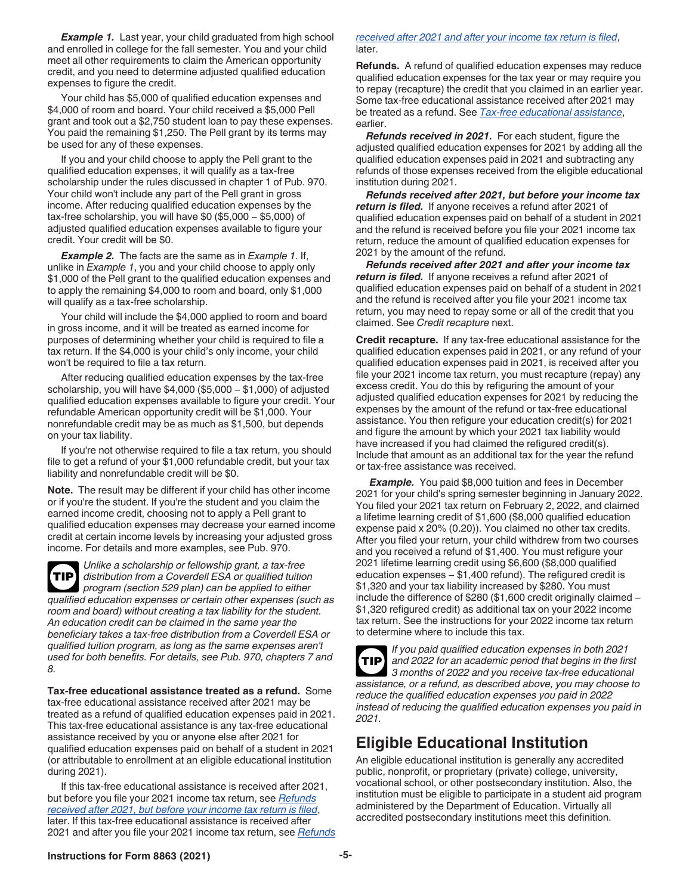**Example 1.** Last year, your child graduated from high school and enrolled in college for the fall semester. You and your child meet all other requirements to claim the American opportunity credit, and you need to determine adjusted qualified education expenses to figure the credit.

Your child has \$5,000 of qualified education expenses and \$4,000 of room and board. Your child received a \$5,000 Pell grant and took out a \$2,750 student loan to pay these expenses. You paid the remaining \$1,250. The Pell grant by its terms may be used for any of these expenses.

If you and your child choose to apply the Pell grant to the qualified education expenses, it will qualify as a tax-free scholarship under the rules discussed in chapter 1 of Pub. 970. Your child won't include any part of the Pell grant in gross income. After reducing qualified education expenses by the tax-free scholarship, you will have \$0 (\$5,000 − \$5,000) of adjusted qualified education expenses available to figure your credit. Your credit will be \$0.

*Example 2.* The facts are the same as in *Example 1*. If, unlike in *Example 1*, you and your child choose to apply only \$1,000 of the Pell grant to the qualified education expenses and to apply the remaining \$4,000 to room and board, only \$1,000 will qualify as a tax-free scholarship.

Your child will include the \$4,000 applied to room and board in gross income, and it will be treated as earned income for purposes of determining whether your child is required to file a tax return. If the \$4,000 is your child's only income, your child won't be required to file a tax return.

After reducing qualified education expenses by the tax-free scholarship, you will have \$4,000 (\$5,000 − \$1,000) of adjusted qualified education expenses available to figure your credit. Your refundable American opportunity credit will be \$1,000. Your nonrefundable credit may be as much as \$1,500, but depends on your tax liability.

If you're not otherwise required to file a tax return, you should file to get a refund of your \$1,000 refundable credit, but your tax liability and nonrefundable credit will be \$0.

**Note.** The result may be different if your child has other income or if you're the student. If you're the student and you claim the earned income credit, choosing not to apply a Pell grant to qualified education expenses may decrease your earned income credit at certain income levels by increasing your adjusted gross income. For details and more examples, see Pub. 970.



*Unlike a scholarship or fellowship grant, a tax-free distribution from a Coverdell ESA or qualified tuition program (section 529 plan) can be applied to either qualified education expenses or certain other expenses (such as room and board) without creating a tax liability for the student. An education credit can be claimed in the same year the beneficiary takes a tax-free distribution from a Coverdell ESA or* 

*qualified tuition program, as long as the same expenses aren't used for both benefits. For details, see Pub. 970, chapters 7 and 8.*

**Tax-free educational assistance treated as a refund.** Some tax-free educational assistance received after 2021 may be treated as a refund of qualified education expenses paid in 2021. This tax-free educational assistance is any tax-free educational assistance received by you or anyone else after 2021 for qualified education expenses paid on behalf of a student in 2021 (or attributable to enrollment at an eligible educational institution during 2021).

If this tax-free educational assistance is received after 2021, but before you file your 2021 income tax return, see *Refunds received after 2021, but before your income tax return is filed*, later. If this tax-free educational assistance is received after 2021 and after you file your 2021 income tax return, see *Refunds* 

#### *received after 2021 and after your income tax return is filed*, later.

**Refunds.** A refund of qualified education expenses may reduce qualified education expenses for the tax year or may require you to repay (recapture) the credit that you claimed in an earlier year. Some tax-free educational assistance received after 2021 may be treated as a refund. See *Tax-free educational assistance*, earlier.

*Refunds received in 2021.* For each student, figure the adjusted qualified education expenses for 2021 by adding all the qualified education expenses paid in 2021 and subtracting any refunds of those expenses received from the eligible educational institution during 2021.

*Refunds received after 2021, but before your income tax return is filed.* If anyone receives a refund after 2021 of qualified education expenses paid on behalf of a student in 2021 and the refund is received before you file your 2021 income tax return, reduce the amount of qualified education expenses for 2021 by the amount of the refund.

*Refunds received after 2021 and after your income tax return is filed.* If anyone receives a refund after 2021 of qualified education expenses paid on behalf of a student in 2021 and the refund is received after you file your 2021 income tax return, you may need to repay some or all of the credit that you claimed. See *Credit recapture* next.

**Credit recapture.** If any tax-free educational assistance for the qualified education expenses paid in 2021, or any refund of your qualified education expenses paid in 2021, is received after you file your 2021 income tax return, you must recapture (repay) any excess credit. You do this by refiguring the amount of your adjusted qualified education expenses for 2021 by reducing the expenses by the amount of the refund or tax-free educational assistance. You then refigure your education credit(s) for 2021 and figure the amount by which your 2021 tax liability would have increased if you had claimed the refigured credit(s). Include that amount as an additional tax for the year the refund or tax-free assistance was received.

**Example.** You paid \$8,000 tuition and fees in December 2021 for your child's spring semester beginning in January 2022. You filed your 2021 tax return on February 2, 2022, and claimed a lifetime learning credit of \$1,600 (\$8,000 qualified education expense paid x 20% (0.20)). You claimed no other tax credits. After you filed your return, your child withdrew from two courses and you received a refund of \$1,400. You must refigure your 2021 lifetime learning credit using \$6,600 (\$8,000 qualified education expenses – \$1,400 refund). The refigured credit is \$1,320 and your tax liability increased by \$280. You must include the difference of \$280 (\$1,600 credit originally claimed − \$1,320 refigured credit) as additional tax on your 2022 income tax return. See the instructions for your 2022 income tax return to determine where to include this tax.

*If you paid qualified education expenses in both 2021 and 2022 for an academic period that begins in the first 3 months of 2022 and you receive tax-free educational assistance, or a refund, as described above, you may choose to reduce the qualified education expenses you paid in 2022 instead of reducing the qualified education expenses you paid in 2021.* **TIP**

# **Eligible Educational Institution**

An eligible educational institution is generally any accredited public, nonprofit, or proprietary (private) college, university, vocational school, or other postsecondary institution. Also, the institution must be eligible to participate in a student aid program administered by the Department of Education. Virtually all accredited postsecondary institutions meet this definition.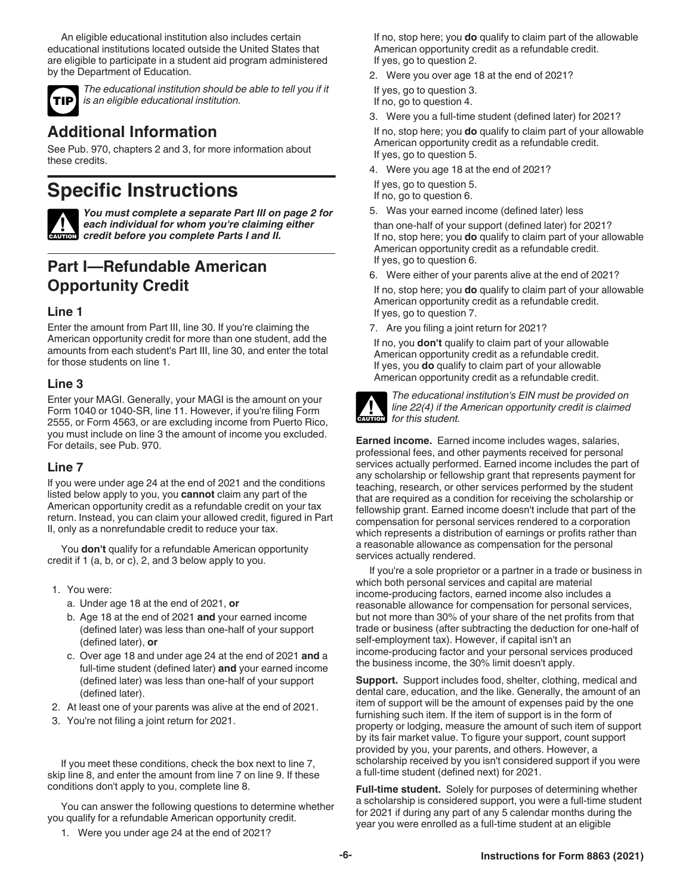An eligible educational institution also includes certain educational institutions located outside the United States that are eligible to participate in a student aid program administered by the Department of Education.



*The educational institution should be able to tell you if it is an eligible educational institution.*

### **Additional Information**

See Pub. 970, chapters 2 and 3, for more information about these credits.

# **Specific Instructions**



*You must complete a separate Part III on page 2 for each individual for whom you're claiming either*  **Particle** *cach individual for whom you're claiming***<br>** *example credit before you complete Parts I and II.* 

# **Part I—Refundable American Opportunity Credit**

### **Line 1**

Enter the amount from Part III, line 30. If you're claiming the American opportunity credit for more than one student, add the amounts from each student's Part III, line 30, and enter the total for those students on line 1.

### **Line 3**

Enter your MAGI. Generally, your MAGI is the amount on your Form 1040 or 1040-SR, line 11. However, if you're filing Form 2555, or Form 4563, or are excluding income from Puerto Rico, you must include on line 3 the amount of income you excluded. For details, see Pub. 970.

#### **Line 7**

If you were under age 24 at the end of 2021 and the conditions listed below apply to you, you **cannot** claim any part of the American opportunity credit as a refundable credit on your tax return. Instead, you can claim your allowed credit, figured in Part II, only as a nonrefundable credit to reduce your tax.

You **don't** qualify for a refundable American opportunity credit if 1 (a, b, or c), 2, and 3 below apply to you.

- 1. You were:
	- a. Under age 18 at the end of 2021, **or**
	- b. Age 18 at the end of 2021 **and** your earned income (defined later) was less than one-half of your support (defined later), **or**
	- c. Over age 18 and under age 24 at the end of 2021 **and** a full-time student (defined later) **and** your earned income (defined later) was less than one-half of your support (defined later).
- 2. At least one of your parents was alive at the end of 2021.
- 3. You're not filing a joint return for 2021.

If you meet these conditions, check the box next to line 7, skip line 8, and enter the amount from line 7 on line 9. If these conditions don't apply to you, complete line 8.

You can answer the following questions to determine whether you qualify for a refundable American opportunity credit.

If no, stop here; you **do** qualify to claim part of the allowable American opportunity credit as a refundable credit. If yes, go to question 2.

2. Were you over age 18 at the end of 2021?

If yes, go to question 3.

If no, go to question 4.

3. Were you a full-time student (defined later) for 2021?

If no, stop here; you **do** qualify to claim part of your allowable American opportunity credit as a refundable credit. If yes, go to question 5.

4. Were you age 18 at the end of 2021?

If yes, go to question 5.

If no, go to question 6.

5. Was your earned income (defined later) less

than one-half of your support (defined later) for 2021? If no, stop here; you **do** qualify to claim part of your allowable American opportunity credit as a refundable credit. If yes, go to question 6.

6. Were either of your parents alive at the end of 2021?

If no, stop here; you **do** qualify to claim part of your allowable American opportunity credit as a refundable credit. If yes, go to question 7.

7. Are you filing a joint return for 2021?

If no, you **don't** qualify to claim part of your allowable American opportunity credit as a refundable credit. If yes, you **do** qualify to claim part of your allowable American opportunity credit as a refundable credit.



*The educational institution's EIN must be provided on line 22(4) if the American opportunity credit is claimed for this student.*

**Earned income.** Earned income includes wages, salaries, professional fees, and other payments received for personal services actually performed. Earned income includes the part of any scholarship or fellowship grant that represents payment for teaching, research, or other services performed by the student that are required as a condition for receiving the scholarship or fellowship grant. Earned income doesn't include that part of the compensation for personal services rendered to a corporation which represents a distribution of earnings or profits rather than a reasonable allowance as compensation for the personal services actually rendered.

If you're a sole proprietor or a partner in a trade or business in which both personal services and capital are material income-producing factors, earned income also includes a reasonable allowance for compensation for personal services, but not more than 30% of your share of the net profits from that trade or business (after subtracting the deduction for one-half of self-employment tax). However, if capital isn't an income-producing factor and your personal services produced the business income, the 30% limit doesn't apply.

**Support.** Support includes food, shelter, clothing, medical and dental care, education, and the like. Generally, the amount of an item of support will be the amount of expenses paid by the one furnishing such item. If the item of support is in the form of property or lodging, measure the amount of such item of support by its fair market value. To figure your support, count support provided by you, your parents, and others. However, a scholarship received by you isn't considered support if you were a full-time student (defined next) for 2021.

**Full-time student.** Solely for purposes of determining whether a scholarship is considered support, you were a full-time student for 2021 if during any part of any 5 calendar months during the year you were enrolled as a full-time student at an eligible

1. Were you under age 24 at the end of 2021?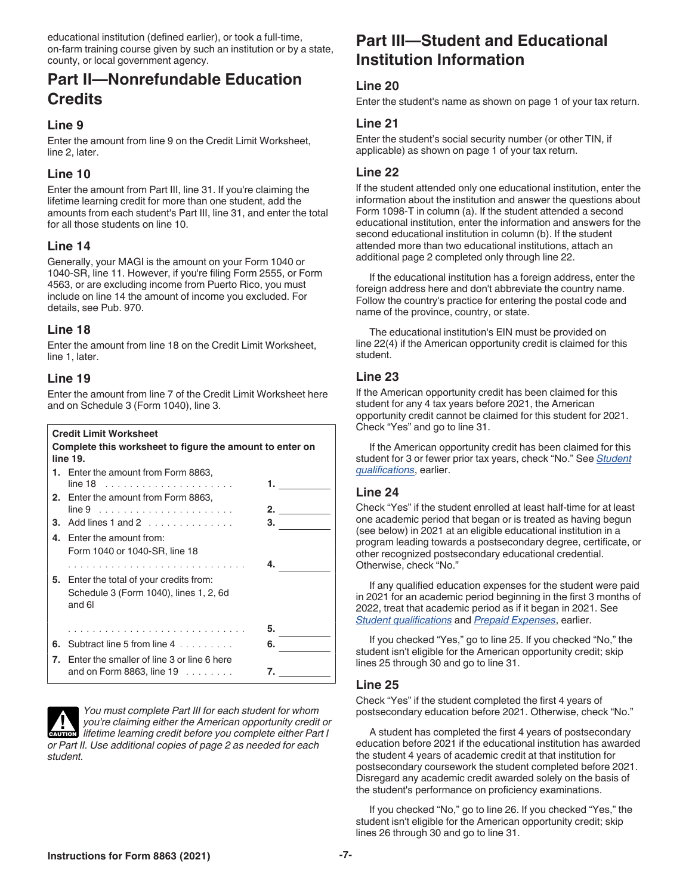educational institution (defined earlier), or took a full-time, on-farm training course given by such an institution or by a state, county, or local government agency.

### **Part II—Nonrefundable Education Credits**

#### **Line 9**

Enter the amount from line 9 on the Credit Limit Worksheet, line 2, later.

### **Line 10**

Enter the amount from Part III, line 31. If you're claiming the lifetime learning credit for more than one student, add the amounts from each student's Part III, line 31, and enter the total for all those students on line 10.

### **Line 14**

Generally, your MAGI is the amount on your Form 1040 or 1040-SR, line 11. However, if you're filing Form 2555, or Form 4563, or are excluding income from Puerto Rico, you must include on line 14 the amount of income you excluded. For details, see Pub. 970.

### **Line 18**

Enter the amount from line 18 on the Credit Limit Worksheet, line 1, later.

### **Line 19**

Enter the amount from line 7 of the Credit Limit Worksheet here and on Schedule 3 (Form 1040), line 3.

### **Credit Limit Worksheet**

Form 1040 or 1040-SR, line 18

| Complete this worksheet to figure the amount to enter on<br>line 19. |                                                       |  |
|----------------------------------------------------------------------|-------------------------------------------------------|--|
|                                                                      | 1. Enter the amount from Form 8863,                   |  |
|                                                                      |                                                       |  |
|                                                                      | 2. Enter the amount from Form 8863,                   |  |
|                                                                      | 2.                                                    |  |
|                                                                      | <b>3.</b> Add lines 1 and 2 $\ldots$ , $\ldots$<br>з. |  |
|                                                                      | 4. Enter the amount from:                             |  |

|    | 5. Enter the total of your credits from:      |    |  |
|----|-----------------------------------------------|----|--|
|    | Schedule 3 (Form 1040), lines 1, 2, 6d        |    |  |
|    | and 6l                                        |    |  |
|    |                                               | 5. |  |
| 6. | Subtract line 5 from line 4                   | 6. |  |
|    | 7. Enter the smaller of line 3 or line 6 here |    |  |
|    | and on Form 8863, line 19                     |    |  |



*You must complete Part III for each student for whom you're claiming either the American opportunity credit or*  **lifetime learning either the American opportunity credit or**<br> **ENDITION** lifetime learning credit before you complete either Part I *or Part II. Use additional copies of page 2 as needed for each student.*

### **Part III—Student and Educational Institution Information**

### **Line 20**

Enter the student's name as shown on page 1 of your tax return.

#### **Line 21**

Enter the student's social security number (or other TIN, if applicable) as shown on page 1 of your tax return.

#### **Line 22**

If the student attended only one educational institution, enter the information about the institution and answer the questions about Form 1098-T in column (a). If the student attended a second educational institution, enter the information and answers for the second educational institution in column (b). If the student attended more than two educational institutions, attach an additional page 2 completed only through line 22.

If the educational institution has a foreign address, enter the foreign address here and don't abbreviate the country name. Follow the country's practice for entering the postal code and name of the province, country, or state.

The educational institution's EIN must be provided on line 22(4) if the American opportunity credit is claimed for this student.

### **Line 23**

If the American opportunity credit has been claimed for this student for any 4 tax years before 2021, the American opportunity credit cannot be claimed for this student for 2021. Check "Yes" and go to line 31.

If the American opportunity credit has been claimed for this student for 3 or fewer prior tax years, check "No." See *Student qualifications*, earlier.

#### **Line 24**

Check "Yes" if the student enrolled at least half-time for at least one academic period that began or is treated as having begun (see below) in 2021 at an eligible educational institution in a program leading towards a postsecondary degree, certificate, or other recognized postsecondary educational credential. Otherwise, check "No."

If any qualified education expenses for the student were paid in 2021 for an academic period beginning in the first 3 months of 2022, treat that academic period as if it began in 2021. See *Student qualifications* and *Prepaid Expenses*, earlier.

If you checked "Yes," go to line 25. If you checked "No," the student isn't eligible for the American opportunity credit; skip lines 25 through 30 and go to line 31.

### **Line 25**

Check "Yes" if the student completed the first 4 years of postsecondary education before 2021. Otherwise, check "No."

A student has completed the first 4 years of postsecondary education before 2021 if the educational institution has awarded the student 4 years of academic credit at that institution for postsecondary coursework the student completed before 2021. Disregard any academic credit awarded solely on the basis of the student's performance on proficiency examinations.

If you checked "No," go to line 26. If you checked "Yes," the student isn't eligible for the American opportunity credit; skip lines 26 through 30 and go to line 31.